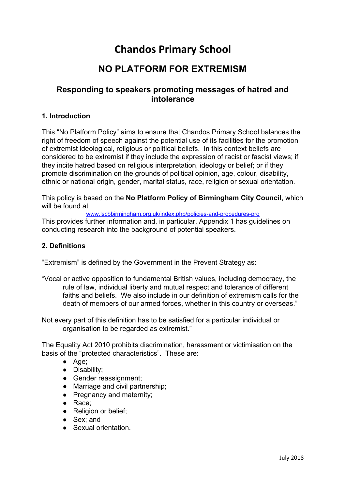# **Chandos Primary School**

## **NO PLATFORM FOR EXTREMISM**

### **Responding to speakers promoting messages of hatred and intolerance**

#### **1. Introduction**

This "No Platform Policy" aims to ensure that Chandos Primary School balances the right of freedom of speech against the potential use of its facilities for the promotion of extremist ideological, religious or political beliefs. In this context beliefs are considered to be extremist if they include the expression of racist or fascist views; if they incite hatred based on religious interpretation, ideology or belief; or if they promote discrimination on the grounds of political opinion, age, colour, disability, ethnic or national origin, gender, marital status, race, religion or sexual orientation.

This policy is based on the **No Platform Policy of Birmingham City Council**, which will be found at

[www.lscbbirmingham.org.uk/index.php/policies-and-procedures-pro](http://www.lscbbirmingham.org.uk/index.php/policies-and-procedures-pro)

This provides further information and, in particular, Appendix 1 has guidelines on conducting research into the background of potential speakers.

#### **2. Definitions**

"Extremism" is defined by the Government in the Prevent Strategy as:

"Vocal or active opposition to fundamental British values, including democracy, the rule of law, individual liberty and mutual respect and tolerance of different faiths and beliefs. We also include in our definition of extremism calls for the death of members of our armed forces, whether in this country or overseas."

Not every part of this definition has to be satisfied for a particular individual or organisation to be regarded as extremist."

The Equality Act 2010 prohibits discrimination, harassment or victimisation on the basis of the "protected characteristics". These are:

- Age;
- Disability;
- Gender reassignment;
- Marriage and civil partnership;
- Pregnancy and maternity;
- Race;
- Religion or belief;
- Sex: and
- Sexual orientation.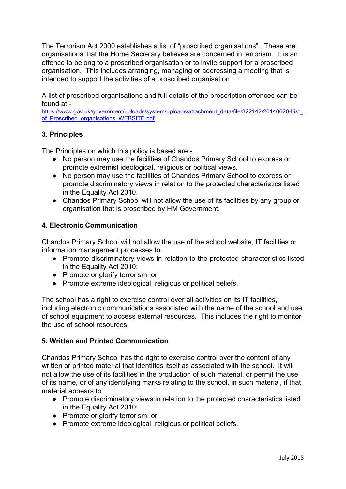The Terrorism Act 2000 establishes a list of "proscribed organisations". These are organisations that the Home Secretary believes are concerned in terrorism. It is an offence to belong to a proscribed organisation or to invite support for a proscribed organisation. This includes arranging, managing or addressing a meeting that is intended to support the activities of a proscribed organisation

A list of proscribed organisations and full details of the proscription offences can be found at -

[https://www.gov.uk/government/uploads/system/uploads/attachment\\_data/file/322142/20140620-List\\_](https://www.gov.uk/government/uploads/system/uploads/attachment_data/file/322142/20140620-List_of_Proscribed_organisations_WEBSITE.pdf) of Proscribed organisations WEBSITE.pdf

#### **3. Principles**

The Principles on which this policy is based are -

- No person may use the facilities of Chandos Primary School to express or promote extremist ideological, religious or political views.
- No person may use the facilities of Chandos Primary School to express or promote discriminatory views in relation to the protected characteristics listed in the Equality Act 2010.
- Chandos Primary School will not allow the use of its facilities by any group or organisation that is proscribed by HM Government.

#### **4. Electronic Communication**

Chandos Primary School will not allow the use of the school website, IT facilities or information management processes to:

- Promote discriminatory views in relation to the protected characteristics listed in the Equality Act 2010;
- Promote or glorify terrorism; or
- Promote extreme ideological, religious or political beliefs.

The school has a right to exercise control over all activities on its IT facilities, including electronic communications associated with the name of the school and use of school equipment to access external resources. This includes the right to monitor the use of school resources.

#### **5. Written and Printed Communication**

Chandos Primary School has the right to exercise control over the content of any written or printed material that identifies itself as associated with the school. It will not allow the use of its facilities in the production of such material, or permit the use of its name, or of any identifying marks relating to the school, in such material, if that material appears to

- Promote discriminatory views in relation to the protected characteristics listed in the Equality Act 2010;
- Promote or glorify terrorism; or
- Promote extreme ideological, religious or political beliefs.